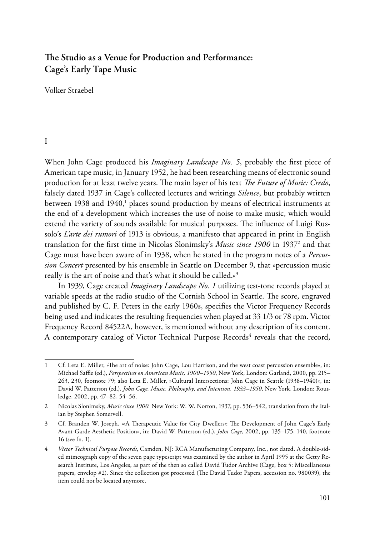# **The Studio as a Venue for Production and Performance: Cage's Early Tape Music**

Volker Straebel

# I

When John Cage produced his *Imaginary Landscape No. 5*, probably the first piece of American tape music, in January 1952, he had been researching means of electronic sound production for at least twelve years. The main layer of his text *The Future of Music: Credo*, falsely dated 1937 in Cage's collected lectures and writings *Silence*, but probably written between 1938 and 1940,<sup>1</sup> places sound production by means of electrical instruments at the end of a development which increases the use of noise to make music, which would extend the variety of sounds available for musical purposes. The influence of Luigi Russolo's *L'arte dei rumori* of 1913 is obvious, a manifesto that appeared in print in English translation for the first time in Nicolas Slonimsky's *Music since 1900* in 19372 and that Cage must have been aware of in 1938, when he stated in the program notes of a *Percussion Concert* presented by his ensemble in Seattle on December 9, that »percussion music really is the art of noise and that's what it should be called.«3

In 1939, Cage created *Imaginary Landscape No. 1* utilizing test-tone records played at variable speeds at the radio studio of the Cornish School in Seattle. The score, engraved and published by C. F. Peters in the early 1960s, specifies the Victor Frequency Records being used and indicates the resulting frequencies when played at 33 1/3 or 78 rpm. Victor Frequency Record 84522A, however, is mentioned without any description of its content. A contemporary catalog of Victor Technical Purpose Records<sup>4</sup> reveals that the record,

<sup>1</sup> Cf. Leta E. Miller, »The art of noise: John Cage, Lou Harrison, and the west coast percussion ensemble«, in: Michael Saffle (ed.), *Perspectives on American Music, 1900–1950*, New York, London: Garland, 2000, pp. 215– 263, 230, footnote 79; also Leta E. Miller, »Cultural Intersections: John Cage in Seattle (1938–1940)«, in: David W. Patterson (ed.), *John Cage. Music, Philosophy, and Intention, 1933–1950*, New York, London: Routledge, 2002, pp. 47–82, 54–56.

<sup>2</sup> Nicolas Slonimsky, *Music since 1900.* New York: W. W. Norton, 1937, pp. 536–542, translation from the Italian by Stephen Somervell.

<sup>3</sup> Cf. Branden W. Joseph, »›A Therapeutic Value for City Dwellers‹: The Development of John Cage's Early Avant-Garde Aesthetic Position«, in: David W. Patterson (ed.), *John Cage*, 2002, pp. 135–175, 140, footnote 16 (see fn. 1).

<sup>4</sup> *Victor Technical Purpose Records*, Camden, NJ: RCA Manufacturing Company, Inc., not dated. A double-sided mimeograph copy of the seven page typescript was examined by the author in April 1995 at the Getty Research Institute, Los Angeles, as part of the then so called David Tudor Archive (Cage, box 5: Miscellaneous papers, envelop #2). Since the collection got processed (The David Tudor Papers, accession no. 980039), the item could not be located anymore.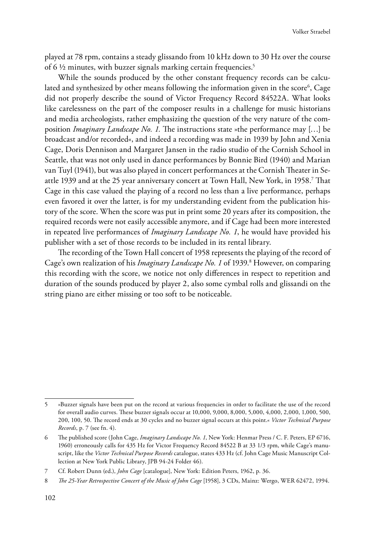played at 78 rpm, contains a steady glissando from 10 kHz down to 30 Hz over the course of  $6\frac{1}{2}$  minutes, with buzzer signals marking certain frequencies.<sup>5</sup>

While the sounds produced by the other constant frequency records can be calculated and synthesized by other means following the information given in the score $\rm ^6$ , Cage did not properly describe the sound of Victor Frequency Record 84522A. What looks like carelessness on the part of the composer results in a challenge for music historians and media archeologists, rather emphasizing the question of the very nature of the composition *Imaginary Landscape No. 1.* The instructions state »the performance may […] be broadcast and/or recorded«, and indeed a recording was made in 1939 by John and Xenia Cage, Doris Dennison and Margaret Jansen in the radio studio of the Cornish School in Seattle, that was not only used in dance performances by Bonnie Bird (1940) and Marian van Tuyl (1941), but was also played in concert performances at the Cornish Theater in Seattle 1939 and at the 25 year anniversary concert at Town Hall, New York, in 1958.7 That Cage in this case valued the playing of a record no less than a live performance, perhaps even favored it over the latter, is for my understanding evident from the publication history of the score. When the score was put in print some 20 years after its composition, the required records were not easily accessible anymore, and if Cage had been more interested in repeated live performances of *Imaginary Landscape No. 1*, he would have provided his publisher with a set of those records to be included in its rental library.

The recording of the Town Hall concert of 1958 represents the playing of the record of Cage's own realization of his *Imaginary Landscape No. 1* of 1939.<sup>8</sup> However, on comparing this recording with the score, we notice not only differences in respect to repetition and duration of the sounds produced by player 2, also some cymbal rolls and glissandi on the string piano are either missing or too soft to be noticeable.

<sup>5</sup> »Buzzer signals have been put on the record at various frequencies in order to facilitate the use of the record for overall audio curves. These buzzer signals occur at 10,000, 9,000, 8,000, 5,000, 4,000, 2,000, 1,000, 500, 200, 100, 50. The record ends at 30 cycles and no buzzer signal occurs at this point.« *Victor Technical Purpose Records*, p. 7 (see fn. 4).

<sup>6</sup> The published score (John Cage, *Imaginary Landscape No. 1*, New York: Henmar Press / C. F. Peters, EP 6716, 1960) erroneously calls for 435 Hz for Victor Frequency Record 84522 B at 33 1/3 rpm, while Cage's manuscript, like the *Victor Technical Purpose Records* catalogue, states 433 Hz (cf. John Cage Music Manuscript Collection at New York Public Library, JPB 94-24 Folder 46).

<sup>7</sup> Cf. Robert Dunn (ed.), *John Cage* [catalogue], New York: Edition Peters, 1962, p. 36.

<sup>8</sup> *The 25-Year Retrospective Concert of the Music of John Cage* [1958], 3 CDs, Mainz: Wergo, WER 62472, 1994.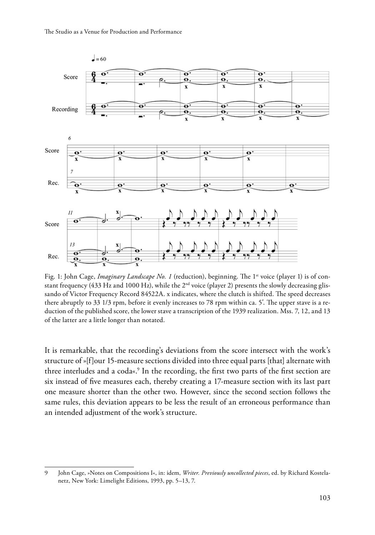

Fig. 1: John Cage, *Imaginary Landscape No. 1* (reduction), beginning. The 1<sup>st</sup> voice (player 1) is of constant frequency (433 Hz and 1000 Hz), while the 2<sup>nd</sup> voice (player 2) presents the slowly decreasing glissando of Victor Frequency Record 84522A. x indicates, where the clutch is shifted. The speed decreases there abruptly to 33 1/3 rpm, before it evenly increases to 78 rpm within ca. 5*'*. The upper stave is a reduction of the published score, the lower stave a transcription of the 1939 realization. Mss. 7, 12, and 13 of the latter are a little longer than notated.

It is remarkable, that the recording's deviations from the score intersect with the work's structure of »[f]our 15-measure sections divided into three equal parts [that] alternate with three interludes and a coda«.<sup>9</sup> In the recording, the first two parts of the first section are six instead of five measures each, thereby creating a 17-measure section with its last part one measure shorter than the other two. However, since the second section follows the same rules, this deviation appears to be less the result of an erroneous performance than an intended adjustment of the work's structure.

<sup>9</sup> John Cage, »Notes on Compositions I«, in: idem, *Writer. Previously uncollected pieces*, ed. by Richard Kostelanetz, New York: Limelight Editions, 1993, pp. 5–13, 7.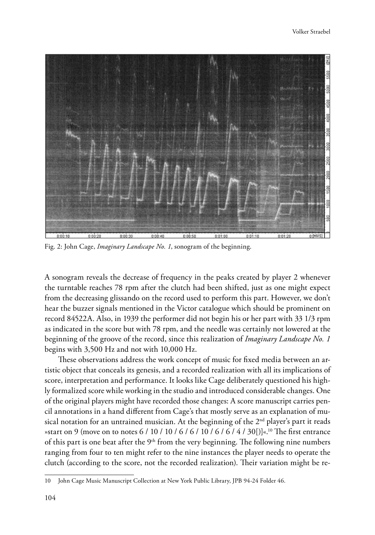

Fig. 2: John Cage, *Imaginary Landscape No. 1*, sonogram of the beginning.

A sonogram reveals the decrease of frequency in the peaks created by player 2 whenever the turntable reaches 78 rpm after the clutch had been shifted, just as one might expect from the decreasing glissando on the record used to perform this part. However, we don't hear the buzzer signals mentioned in the Victor catalogue which should be prominent on record 84522A. Also, in 1939 the performer did not begin his or her part with 33 1/3 rpm as indicated in the score but with 78 rpm, and the needle was certainly not lowered at the beginning of the groove of the record, since this realization of *Imaginary Landscape No. 1* begins with 3,500 Hz and not with 10,000 Hz.

These observations address the work concept of music for fixed media between an artistic object that conceals its genesis, and a recorded realization with all its implications of score, interpretation and performance. It looks like Cage deliberately questioned his highly formalized score while working in the studio and introduced considerable changes. One of the original players might have recorded those changes: A score manuscript carries pencil annotations in a hand different from Cage's that mostly serve as an explanation of musical notation for an untrained musician. At the beginning of the  $2<sup>nd</sup>$  player's part it reads »start on 9 (move on to notes 6 / 10 / 10 / 6 / 6 / 10 / 6 / 6 / 4 / 30 [)]«.<sup>10</sup> The first entrance of this part is one beat after the  $9<sup>th</sup>$  from the very beginning. The following nine numbers ranging from four to ten might refer to the nine instances the player needs to operate the clutch (according to the score, not the recorded realization). Their variation might be re-

<sup>10</sup> John Cage Music Manuscript Collection at New York Public Library, JPB 94-24 Folder 46.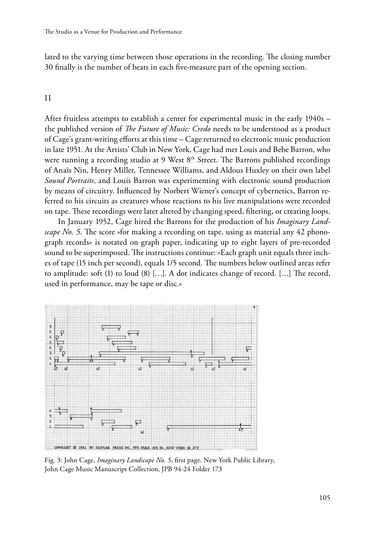lated to the varying time between those operations in the recording. The closing number 30 finally is the number of beats in each five-measure part of the opening section.

### II

After fruitless attempts to establish a center for experimental music in the early 1940s – the published version of *The Future of Music: Credo* needs to be understood as a product of Cage's grant-writing efforts at this time – Cage returned to electronic music production in late 1951. At the Artists' Club in New York, Cage had met Louis and Bebe Barron, who were running a recording studio at 9 West 8<sup>th</sup> Street. The Barrons published recordings of Anaïs Nin, Henry Miller, Tennessee Williams, and Aldous Huxley on their own label *Sound Portraits*, and Louis Barron was experimenting with electronic sound production by means of circuitry. Influenced by Norbert Wiener's concept of cybernetics, Barron referred to his circuits as creatures whose reactions to his live manipulations were recorded on tape. These recordings were later altered by changing speed, filtering, or creating loops.

In January 1952, Cage hired the Barrons for the production of his *Imaginary Landscape No. 5*. The score »for making a recording on tape, using as material any 42 phonograph records« is notated on graph paper, indicating up to eight layers of pre-recorded sound to be superimposed. The instructions continue: »Each graph unit equals three inches of tape (15 inch per second), equals 1/5 second. The numbers below outlined areas refer to amplitude: soft (1) to loud (8) […]. A dot indicates change of record. […] The record, used in performance, may be tape or disc.«



Fig. 3: John Cage, *Imaginary Landscape No. 5*, first page. New York Public Library, John Cage Music Manuscript Collection, JPB 94-24 Folder 173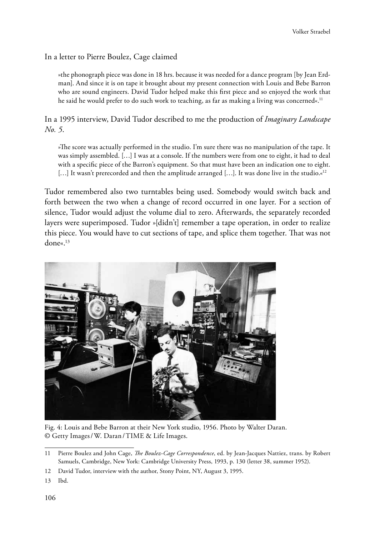# In a letter to Pierre Boulez, Cage claimed

»the phonograph piece was done in 18 hrs. because it was needed for a dance program [by Jean Erdman]. And since it is on tape it brought about my present connection with Louis and Bebe Barron who are sound engineers. David Tudor helped make this first piece and so enjoyed the work that he said he would prefer to do such work to teaching, as far as making a living was concerned«.<sup>11</sup>

In a 1995 interview, David Tudor described to me the production of *Imaginary Landscape No. 5*.

»The score was actually performed in the studio. I'm sure there was no manipulation of the tape. It was simply assembled. […] I was at a console. If the numbers were from one to eight, it had to deal with a specific piece of the Barron's equipment. So that must have been an indication one to eight.  $[...]$  It wasn't prerecorded and then the amplitude arranged [...]. It was done live in the studio.« $12$ 

Tudor remembered also two turntables being used. Somebody would switch back and forth between the two when a change of record occurred in one layer. For a section of silence, Tudor would adjust the volume dial to zero. Afterwards, the separately recorded layers were superimposed. Tudor »[didn't] remember a tape operation, in order to realize this piece. You would have to cut sections of tape, and splice them together. That was not done«.13



Fig. 4: Louis and Bebe Barron at their New York studio, 1956. Photo by Walter Daran. © Getty Images/W. Daran/TIME & Life Images.

<sup>11</sup> Pierre Boulez and John Cage, *The Boulez-Cage Correspondence*, ed. by Jean-Jacques Nattiez, trans. by Robert Samuels, Cambridge, New York: Cambridge University Press, 1993, p. 130 (letter 38, summer 1952).

<sup>12</sup> David Tudor, interview with the author, Stony Point, NY, August 3, 1995.

<sup>13</sup> Ibd.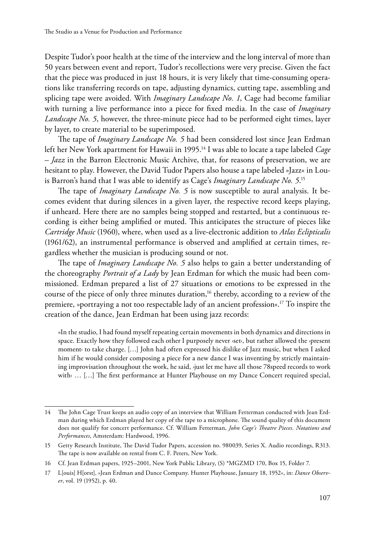Despite Tudor's poor health at the time of the interview and the long interval of more than 50 years between event and report, Tudor's recollections were very precise. Given the fact that the piece was produced in just 18 hours, it is very likely that time-consuming operations like transferring records on tape, adjusting dynamics, cutting tape, assembling and splicing tape were avoided. With *Imaginary Landscape No. 1*, Cage had become familiar with turning a live performance into a piece for fixed media. In the case of *Imaginary Landscape No. 5*, however, the three-minute piece had to be performed eight times, layer by layer, to create material to be superimposed.

The tape of *Imaginary Landscape No. 5* had been considered lost since Jean Erdman left her New York apartment for Hawaii in 1995.14 I was able to locate a tape labeled *Cage – Jazz* in the Barron Electronic Music Archive, that, for reasons of preservation, we are hesitant to play. However, the David Tudor Papers also house a tape labeled »Jazz« in Louis Barron's hand that I was able to identify as Cage's *Imaginary Landscape No. 5*. 15

The tape of *Imaginary Landscape No. 5* is now susceptible to aural analysis. It becomes evident that during silences in a given layer, the respective record keeps playing, if unheard. Here there are no samples being stopped and restarted, but a continuous recording is either being amplified or muted. This anticipates the structure of pieces like *Cartridge Music* (1960), where, when used as a live-electronic addition to *Atlas Eclipticalis* (1961/62), an instrumental performance is observed and amplified at certain times, regardless whether the musician is producing sound or not.

The tape of *Imaginary Landscape No. 5* also helps to gain a better understanding of the choreography *Portrait of a Lady* by Jean Erdman for which the music had been commissioned. Erdman prepared a list of 27 situations or emotions to be expressed in the course of the piece of only three minutes duration,<sup>16</sup> thereby, according to a review of the premiere, »portraying a not too respectable lady of an ancient profession«.<sup>17</sup> To inspire the creation of the dance, Jean Erdman hat been using jazz records:

»In the studio, I had found myself repeating certain movements in both dynamics and directions in space. Exactly how they followed each other I purposely never »set‹, but rather allowed the »present moment‹ to take charge. […] John had often expressed his dislike of Jazz music, but when I asked him if he would consider composing a piece for a new dance I was inventing by strictly maintaining improvisation throughout the work, he said, ›just let me have all those 78speed records to work with  $\dots$  [...] The first performance at Hunter Playhouse on my Dance Concert required special,

<sup>14</sup> The John Cage Trust keeps an audio copy of an interview that William Fetterman conducted with Jean Erdman during which Erdman played her copy of the tape to a microphone. The sound quality of this document does not qualify for concert performance. Cf. William Fetterman, *John Cage's Theatre Pieces. Notations and Performances*, Amsterdam: Hardwood, 1996.

<sup>15</sup> Getty Research Institute, The David Tudor Papers, accession no. 980039, Series X. Audio recordings, R313. The tape is now available on rental from C. F. Peters, New York.

<sup>16</sup> Cf. Jean Erdman papers, 1925–2001, New York Public Library, (S) \*MGZMD 170, Box 15, Folder 7.

<sup>17</sup> L[ouis] H[orst], »Jean Erdman and Dance Company. Hunter Playhouse, January 18, 1952«, in: *Dance Observer*, vol. 19 (1952), p. 40.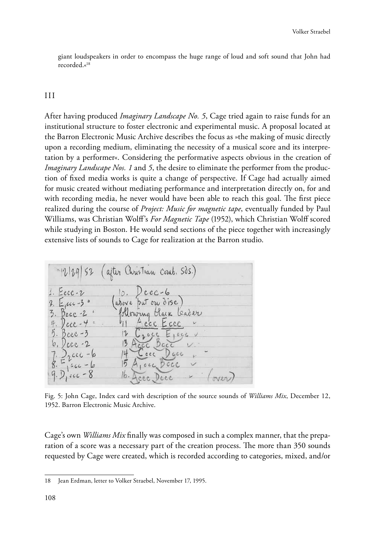giant loudspeakers in order to encompass the huge range of loud and soft sound that John had recorded.«18

#### III

After having produced *Imaginary Landscape No. 5*, Cage tried again to raise funds for an institutional structure to foster electronic and experimental music. A proposal located at the Barron Electronic Music Archive describes the focus as »the making of music directly upon a recording medium, eliminating the necessity of a musical score and its interpretation by a performer«. Considering the performative aspects obvious in the creation of *Imaginary Landscape Nos. 1* and *5*, the desire to eliminate the performer from the production of fixed media works is quite a change of perspective. If Cage had actually aimed for music created without mediating performance and interpretation directly on, for and with recording media, he never would have been able to reach this goal. The first piece realized during the course of *Project: Music for magnetic tape*, eventually funded by Paul Williams, was Christian Wolff's *For Magnetic Tape* (1952), which Christian Wolff scored while studying in Boston. He would send sections of the piece together with increasingly extensive lists of sounds to Cage for realization at the Barron studio.



Fig. 5: John Cage, Index card with description of the source sounds of *Williams Mix*, December 12, 1952. Barron Electronic Music Archive.

Cage's own *Williams Mix* finally was composed in such a complex manner, that the preparation of a score was a necessary part of the creation process. The more than 350 sounds requested by Cage were created, which is recorded according to categories, mixed, and/or

<sup>18</sup> Jean Erdman, letter to Volker Straebel, November 17, 1995.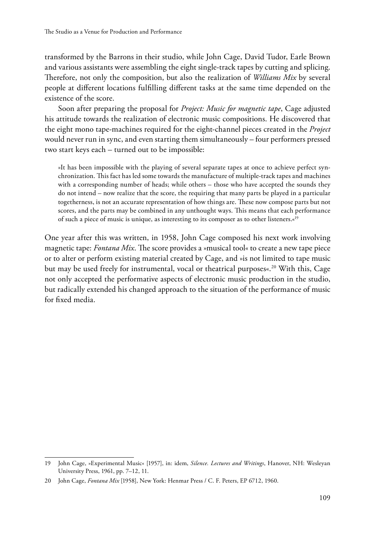transformed by the Barrons in their studio, while John Cage, David Tudor, Earle Brown and various assistants were assembling the eight single-track tapes by cutting and splicing. Therefore, not only the composition, but also the realization of *Williams Mix* by several people at different locations fulfilling different tasks at the same time depended on the existence of the score.

Soon after preparing the proposal for *Project: Music for magnetic tape*, Cage adjusted his attitude towards the realization of electronic music compositions. He discovered that the eight mono tape-machines required for the eight-channel pieces created in the *Project* would never run in sync, and even starting them simultaneously – four performers pressed two start keys each – turned out to be impossible:

»It has been impossible with the playing of several separate tapes at once to achieve perfect synchronization. This fact has led some towards the manufacture of multiple-track tapes and machines with a corresponding number of heads; while others – those who have accepted the sounds they do not intend – now realize that the score, the requiring that many parts be played in a particular togetherness, is not an accurate representation of how things are. These now compose parts but not scores, and the parts may be combined in any unthought ways. This means that each performance of such a piece of music is unique, as interesting to its composer as to other listeners.«19

One year after this was written, in 1958, John Cage composed his next work involving magnetic tape: *Fontana Mix*. The score provides a »musical tool« to create a new tape piece or to alter or perform existing material created by Cage, and »is not limited to tape music but may be used freely for instrumental, vocal or theatrical purposes«.<sup>20</sup> With this, Cage not only accepted the performative aspects of electronic music production in the studio, but radically extended his changed approach to the situation of the performance of music for fixed media.

<sup>19</sup> John Cage, »Experimental Music« [1957], in: idem, *Silence. Lectures and Writings*, Hanover, NH: Wesleyan University Press, 1961, pp. 7–12, 11.

<sup>20</sup> John Cage, *Fontana Mix* [1958], New York: Henmar Press / C. F. Peters, EP 6712, 1960.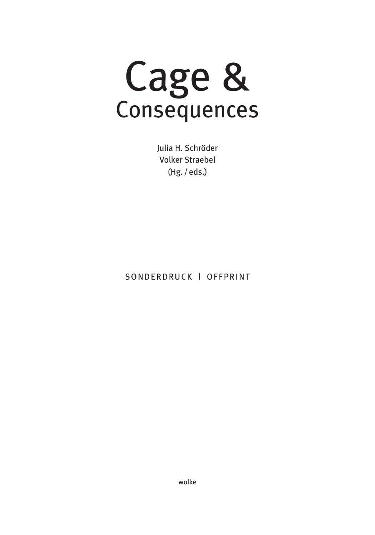Cage & Consequences

Julia H. Schröder Volker Straebel (Hg. /eds.)

SONDERDRUCK | OFFPRINT